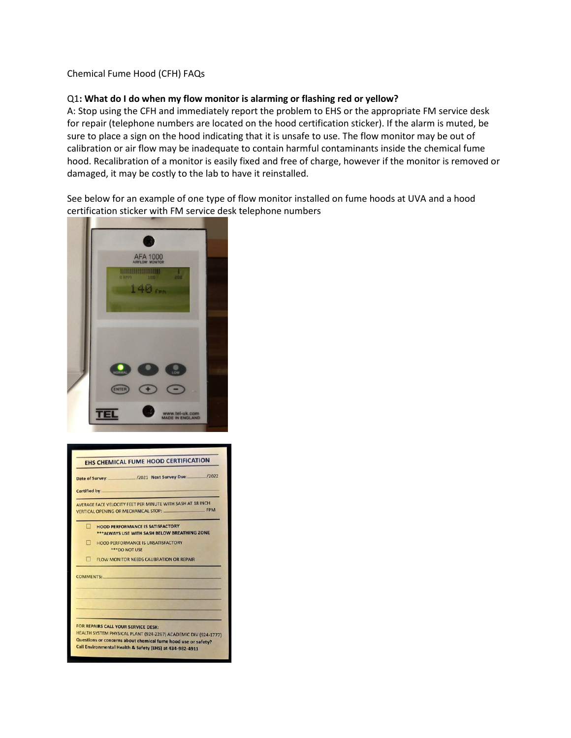### Chemical Fume Hood (CFH) FAQs

### Q1**: What do I do when my flow monitor is alarming or flashing red or yellow?**

A: Stop using the CFH and immediately report the problem to EHS or the appropriate FM service desk for repair (telephone numbers are located on the hood certification sticker). If the alarm is muted, be sure to place a sign on the hood indicating that it is unsafe to use. The flow monitor may be out of calibration or air flow may be inadequate to contain harmful contaminants inside the chemical fume hood. Recalibration of a monitor is easily fixed and free of charge, however if the monitor is removed or damaged, it may be costly to the lab to have it reinstalled.

See below for an example of one type of flow monitor installed on fume hoods at UVA and a hood certification sticker with FM service desk telephone numbers



| Date of Survey: /2021 Next Survey Due: /2022<br>Certified by:<br>AVERAGE FACE VELOCITY FEET PER MINUTE WITH SASH AT 18 INCH.<br>VERTICAL OPENING OR MECHANICAL STOP: FPM |                                                                                                                                      |
|--------------------------------------------------------------------------------------------------------------------------------------------------------------------------|--------------------------------------------------------------------------------------------------------------------------------------|
|                                                                                                                                                                          |                                                                                                                                      |
| п                                                                                                                                                                        | <b>HOOD PERFORMANCE IS UNSATISFACTORY</b><br>*** DO NOT USE                                                                          |
| п                                                                                                                                                                        | FLOW MONITOR NEEDS CALIBRATION OR REPAIR                                                                                             |
|                                                                                                                                                                          | <b>COMMENTS:</b> COMMENTS:<br>FOR REPAIRS CALL YOUR SERVICE DESK:<br>HEALTH SYSTEM PHYSICAL PLANT (924-2267) ACADEMIC DIV (924-1777) |